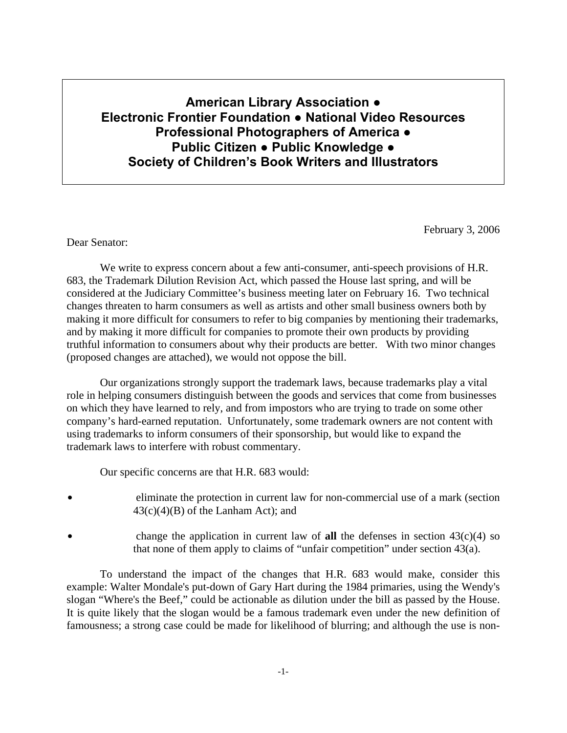# **American Library Association ● Electronic Frontier Foundation ● National Video Resources Professional Photographers of America ● Public Citizen ● Public Knowledge ● Society of Children's Book Writers and Illustrators**

February 3, 2006

Dear Senator:

 We write to express concern about a few anti-consumer, anti-speech provisions of H.R. 683, the Trademark Dilution Revision Act, which passed the House last spring, and will be considered at the Judiciary Committee's business meeting later on February 16. Two technical changes threaten to harm consumers as well as artists and other small business owners both by making it more difficult for consumers to refer to big companies by mentioning their trademarks, and by making it more difficult for companies to promote their own products by providing truthful information to consumers about why their products are better. With two minor changes (proposed changes are attached), we would not oppose the bill.

 Our organizations strongly support the trademark laws, because trademarks play a vital role in helping consumers distinguish between the goods and services that come from businesses on which they have learned to rely, and from impostors who are trying to trade on some other company's hard-earned reputation. Unfortunately, some trademark owners are not content with using trademarks to inform consumers of their sponsorship, but would like to expand the trademark laws to interfere with robust commentary.

Our specific concerns are that H.R. 683 would:

- eliminate the protection in current law for non-commercial use of a mark (section  $43(c)(4)(B)$  of the Lanham Act); and
- change the application in current law of **all** the defenses in section  $43(c)(4)$  so that none of them apply to claims of "unfair competition" under section 43(a).

 To understand the impact of the changes that H.R. 683 would make, consider this example: Walter Mondale's put-down of Gary Hart during the 1984 primaries, using the Wendy's slogan "Where's the Beef," could be actionable as dilution under the bill as passed by the House. It is quite likely that the slogan would be a famous trademark even under the new definition of famousness; a strong case could be made for likelihood of blurring; and although the use is non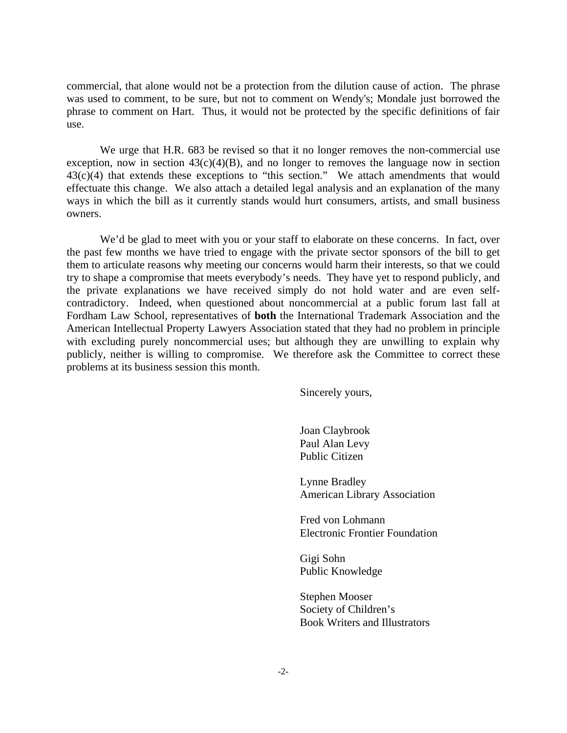commercial, that alone would not be a protection from the dilution cause of action. The phrase was used to comment, to be sure, but not to comment on Wendy's; Mondale just borrowed the phrase to comment on Hart. Thus, it would not be protected by the specific definitions of fair use.

 We urge that H.R. 683 be revised so that it no longer removes the non-commercial use exception, now in section  $43(c)(4)(B)$ , and no longer to removes the language now in section 43(c)(4) that extends these exceptions to "this section." We attach amendments that would effectuate this change. We also attach a detailed legal analysis and an explanation of the many ways in which the bill as it currently stands would hurt consumers, artists, and small business owners.

We'd be glad to meet with you or your staff to elaborate on these concerns. In fact, over the past few months we have tried to engage with the private sector sponsors of the bill to get them to articulate reasons why meeting our concerns would harm their interests, so that we could try to shape a compromise that meets everybody's needs. They have yet to respond publicly, and the private explanations we have received simply do not hold water and are even selfcontradictory. Indeed, when questioned about noncommercial at a public forum last fall at Fordham Law School, representatives of **both** the International Trademark Association and the American Intellectual Property Lawyers Association stated that they had no problem in principle with excluding purely noncommercial uses; but although they are unwilling to explain why publicly, neither is willing to compromise. We therefore ask the Committee to correct these problems at its business session this month.

Sincerely yours,

 Joan Claybrook Paul Alan Levy Public Citizen

 Lynne Bradley American Library Association

 Fred von Lohmann Electronic Frontier Foundation

 Gigi Sohn Public Knowledge

 Stephen Mooser Society of Children's Book Writers and Illustrators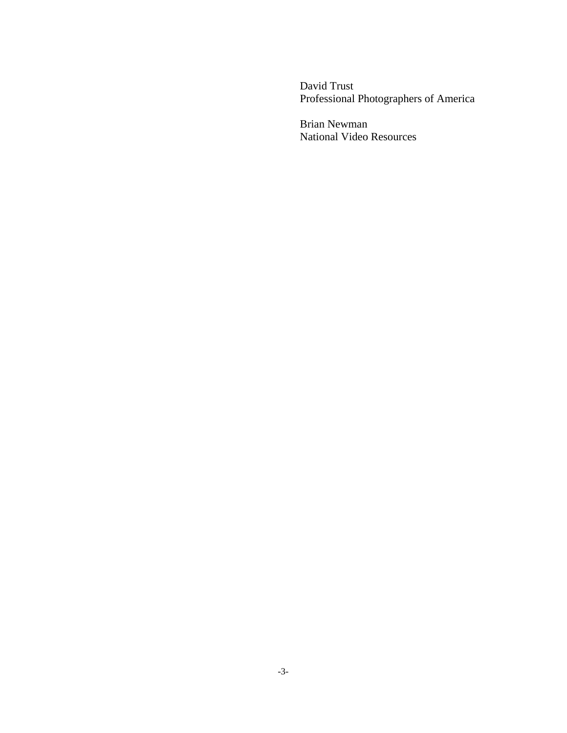David Trust Professional Photographers of America

Brian Newman National Video Resources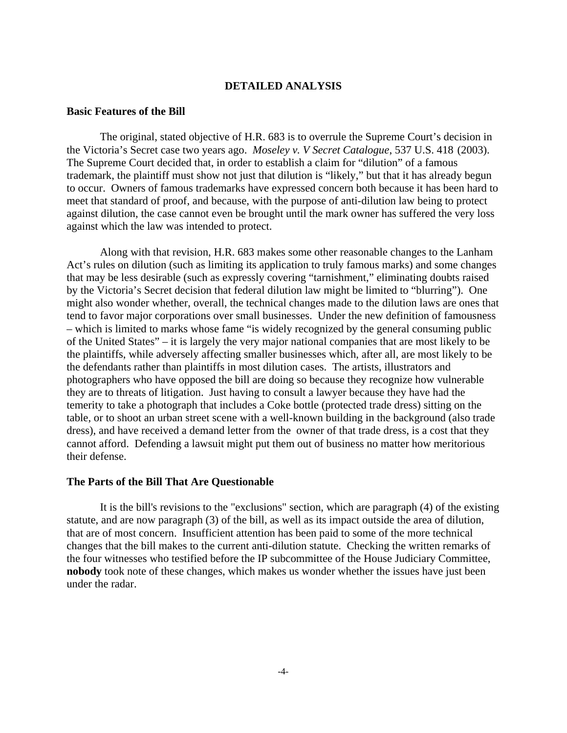# **DETAILED ANALYSIS**

# **Basic Features of the Bill**

 The original, stated objective of H.R. 683 is to overrule the Supreme Court's decision in the Victoria's Secret case two years ago. *Moseley v. V Secret Catalogue*, 537 U.S. 418 (2003). The Supreme Court decided that, in order to establish a claim for "dilution" of a famous trademark, the plaintiff must show not just that dilution is "likely," but that it has already begun to occur. Owners of famous trademarks have expressed concern both because it has been hard to meet that standard of proof, and because, with the purpose of anti-dilution law being to protect against dilution, the case cannot even be brought until the mark owner has suffered the very loss against which the law was intended to protect.

 Along with that revision, H.R. 683 makes some other reasonable changes to the Lanham Act's rules on dilution (such as limiting its application to truly famous marks) and some changes that may be less desirable (such as expressly covering "tarnishment," eliminating doubts raised by the Victoria's Secret decision that federal dilution law might be limited to "blurring"). One might also wonder whether, overall, the technical changes made to the dilution laws are ones that tend to favor major corporations over small businesses. Under the new definition of famousness – which is limited to marks whose fame "is widely recognized by the general consuming public of the United States" – it is largely the very major national companies that are most likely to be the plaintiffs, while adversely affecting smaller businesses which, after all, are most likely to be the defendants rather than plaintiffs in most dilution cases. The artists, illustrators and photographers who have opposed the bill are doing so because they recognize how vulnerable they are to threats of litigation. Just having to consult a lawyer because they have had the temerity to take a photograph that includes a Coke bottle (protected trade dress) sitting on the table, or to shoot an urban street scene with a well-known building in the background (also trade dress), and have received a demand letter from the owner of that trade dress, is a cost that they cannot afford. Defending a lawsuit might put them out of business no matter how meritorious their defense.

### **The Parts of the Bill That Are Questionable**

 It is the bill's revisions to the "exclusions" section, which are paragraph (4) of the existing statute, and are now paragraph (3) of the bill, as well as its impact outside the area of dilution, that are of most concern. Insufficient attention has been paid to some of the more technical changes that the bill makes to the current anti-dilution statute. Checking the written remarks of the four witnesses who testified before the IP subcommittee of the House Judiciary Committee, **nobody** took note of these changes, which makes us wonder whether the issues have just been under the radar.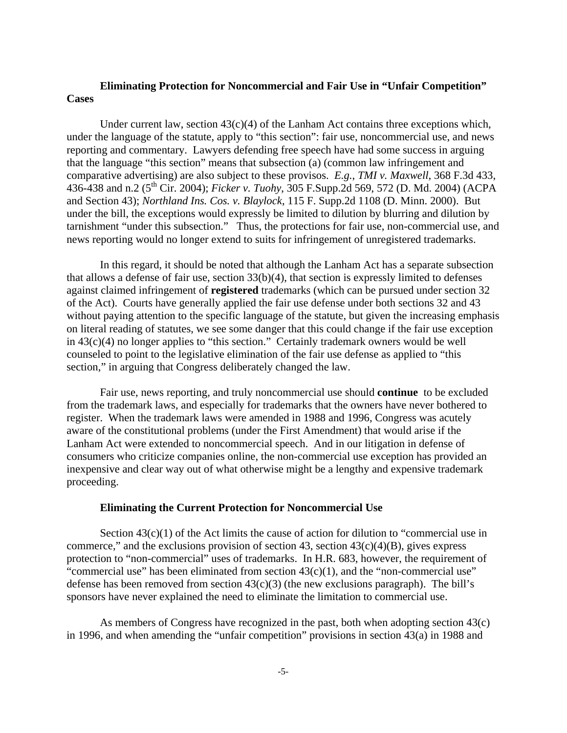# **Eliminating Protection for Noncommercial and Fair Use in "Unfair Competition" Cases**

Under current law, section  $43(c)(4)$  of the Lanham Act contains three exceptions which, under the language of the statute, apply to "this section": fair use, noncommercial use, and news reporting and commentary. Lawyers defending free speech have had some success in arguing that the language "this section" means that subsection (a) (common law infringement and comparative advertising) are also subject to these provisos. *E.g.*, *TMI v. Maxwell*, 368 F.3d 433, 436-438 and n.2 (5th Cir. 2004); *Ficker v. Tuohy*, 305 F.Supp.2d 569, 572 (D. Md. 2004) (ACPA and Section 43); *Northland Ins. Cos. v. Blaylock*, 115 F. Supp.2d 1108 (D. Minn. 2000). But under the bill, the exceptions would expressly be limited to dilution by blurring and dilution by tarnishment "under this subsection." Thus, the protections for fair use, non-commercial use, and news reporting would no longer extend to suits for infringement of unregistered trademarks.

 In this regard, it should be noted that although the Lanham Act has a separate subsection that allows a defense of fair use, section 33(b)(4), that section is expressly limited to defenses against claimed infringement of **registered** trademarks (which can be pursued under section 32 of the Act). Courts have generally applied the fair use defense under both sections 32 and 43 without paying attention to the specific language of the statute, but given the increasing emphasis on literal reading of statutes, we see some danger that this could change if the fair use exception in  $43(c)(4)$  no longer applies to "this section." Certainly trademark owners would be well counseled to point to the legislative elimination of the fair use defense as applied to "this section," in arguing that Congress deliberately changed the law.

 Fair use, news reporting, and truly noncommercial use should **continue** to be excluded from the trademark laws, and especially for trademarks that the owners have never bothered to register. When the trademark laws were amended in 1988 and 1996, Congress was acutely aware of the constitutional problems (under the First Amendment) that would arise if the Lanham Act were extended to noncommercial speech. And in our litigation in defense of consumers who criticize companies online, the non-commercial use exception has provided an inexpensive and clear way out of what otherwise might be a lengthy and expensive trademark proceeding.

## **Eliminating the Current Protection for Noncommercial Use**

Section  $43(c)(1)$  of the Act limits the cause of action for dilution to "commercial use in commerce," and the exclusions provision of section 43, section  $43(c)(4)(B)$ , gives express protection to "non-commercial" uses of trademarks. In H.R. 683, however, the requirement of "commercial use" has been eliminated from section  $43(c)(1)$ , and the "non-commercial use" defense has been removed from section  $43(c)(3)$  (the new exclusions paragraph). The bill's sponsors have never explained the need to eliminate the limitation to commercial use.

 As members of Congress have recognized in the past, both when adopting section 43(c) in 1996, and when amending the "unfair competition" provisions in section 43(a) in 1988 and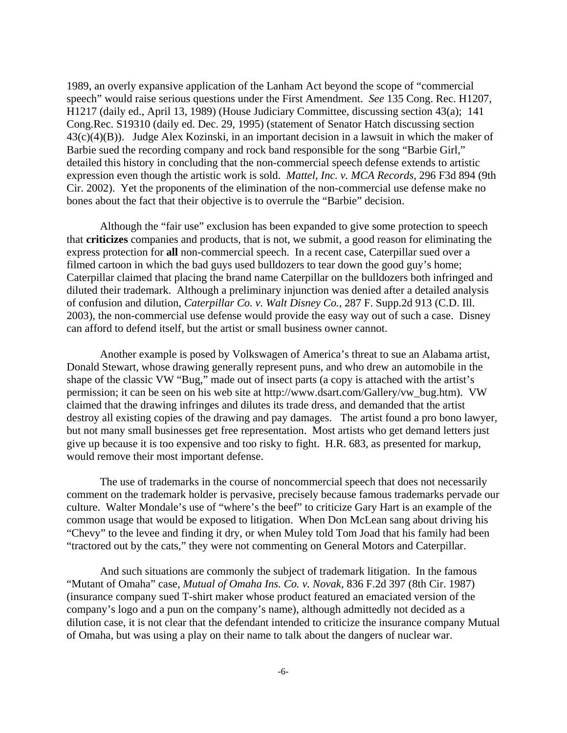1989, an overly expansive application of the Lanham Act beyond the scope of "commercial speech" would raise serious questions under the First Amendment. *See* 135 Cong. Rec. H1207, H1217 (daily ed., April 13, 1989) (House Judiciary Committee, discussing section 43(a); 141 Cong.Rec. S19310 (daily ed. Dec. 29, 1995) (statement of Senator Hatch discussing section 43(c)(4)(B)). Judge Alex Kozinski, in an important decision in a lawsuit in which the maker of Barbie sued the recording company and rock band responsible for the song "Barbie Girl," detailed this history in concluding that the non-commercial speech defense extends to artistic expression even though the artistic work is sold. *Mattel, Inc. v. MCA Records*, 296 F3d 894 (9th Cir. 2002). Yet the proponents of the elimination of the non-commercial use defense make no bones about the fact that their objective is to overrule the "Barbie" decision.

 Although the "fair use" exclusion has been expanded to give some protection to speech that **criticizes** companies and products, that is not, we submit, a good reason for eliminating the express protection for **all** non-commercial speech. In a recent case, Caterpillar sued over a filmed cartoon in which the bad guys used bulldozers to tear down the good guy's home; Caterpillar claimed that placing the brand name Caterpillar on the bulldozers both infringed and diluted their trademark. Although a preliminary injunction was denied after a detailed analysis of confusion and dilution, *Caterpillar Co. v. Walt Disney Co.*, 287 F. Supp.2d 913 (C.D. Ill. 2003), the non-commercial use defense would provide the easy way out of such a case. Disney can afford to defend itself, but the artist or small business owner cannot.

 Another example is posed by Volkswagen of America's threat to sue an Alabama artist, Donald Stewart, whose drawing generally represent puns, and who drew an automobile in the shape of the classic VW "Bug," made out of insect parts (a copy is attached with the artist's permission; it can be seen on his web site at http://www.dsart.com/Gallery/vw\_bug.htm). VW claimed that the drawing infringes and dilutes its trade dress, and demanded that the artist destroy all existing copies of the drawing and pay damages. The artist found a pro bono lawyer, but not many small businesses get free representation. Most artists who get demand letters just give up because it is too expensive and too risky to fight. H.R. 683, as presented for markup, would remove their most important defense.

 The use of trademarks in the course of noncommercial speech that does not necessarily comment on the trademark holder is pervasive, precisely because famous trademarks pervade our culture. Walter Mondale's use of "where's the beef" to criticize Gary Hart is an example of the common usage that would be exposed to litigation. When Don McLean sang about driving his "Chevy" to the levee and finding it dry, or when Muley told Tom Joad that his family had been "tractored out by the cats," they were not commenting on General Motors and Caterpillar.

 And such situations are commonly the subject of trademark litigation. In the famous "Mutant of Omaha" case, *Mutual of Omaha Ins. Co. v. Novak*, 836 F.2d 397 (8th Cir. 1987) (insurance company sued T-shirt maker whose product featured an emaciated version of the company's logo and a pun on the company's name), although admittedly not decided as a dilution case, it is not clear that the defendant intended to criticize the insurance company Mutual of Omaha, but was using a play on their name to talk about the dangers of nuclear war.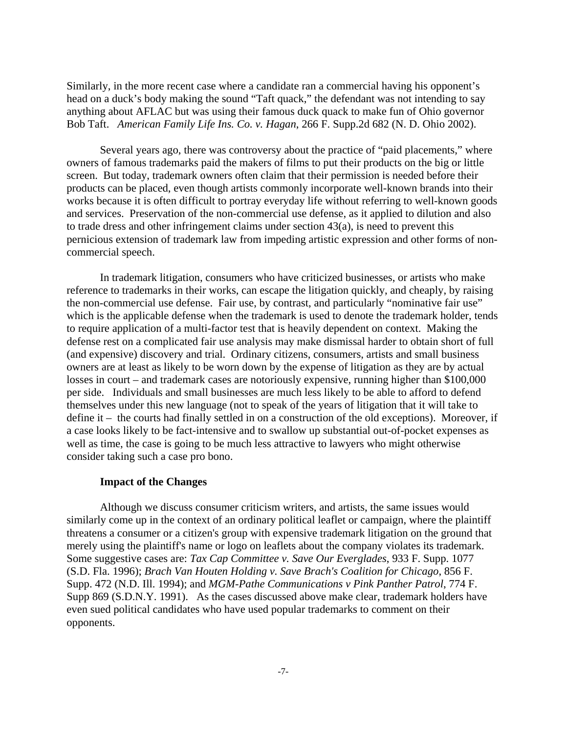Similarly, in the more recent case where a candidate ran a commercial having his opponent's head on a duck's body making the sound "Taft quack," the defendant was not intending to say anything about AFLAC but was using their famous duck quack to make fun of Ohio governor Bob Taft. *American Family Life Ins. Co. v. Hagan*, 266 F. Supp.2d 682 (N. D. Ohio 2002).

 Several years ago, there was controversy about the practice of "paid placements," where owners of famous trademarks paid the makers of films to put their products on the big or little screen. But today, trademark owners often claim that their permission is needed before their products can be placed, even though artists commonly incorporate well-known brands into their works because it is often difficult to portray everyday life without referring to well-known goods and services. Preservation of the non-commercial use defense, as it applied to dilution and also to trade dress and other infringement claims under section 43(a), is need to prevent this pernicious extension of trademark law from impeding artistic expression and other forms of noncommercial speech.

 In trademark litigation, consumers who have criticized businesses, or artists who make reference to trademarks in their works, can escape the litigation quickly, and cheaply, by raising the non-commercial use defense. Fair use, by contrast, and particularly "nominative fair use" which is the applicable defense when the trademark is used to denote the trademark holder, tends to require application of a multi-factor test that is heavily dependent on context. Making the defense rest on a complicated fair use analysis may make dismissal harder to obtain short of full (and expensive) discovery and trial. Ordinary citizens, consumers, artists and small business owners are at least as likely to be worn down by the expense of litigation as they are by actual losses in court – and trademark cases are notoriously expensive, running higher than \$100,000 per side. Individuals and small businesses are much less likely to be able to afford to defend themselves under this new language (not to speak of the years of litigation that it will take to define it – the courts had finally settled in on a construction of the old exceptions). Moreover, if a case looks likely to be fact-intensive and to swallow up substantial out-of-pocket expenses as well as time, the case is going to be much less attractive to lawyers who might otherwise consider taking such a case pro bono.

#### **Impact of the Changes**

 Although we discuss consumer criticism writers, and artists, the same issues would similarly come up in the context of an ordinary political leaflet or campaign, where the plaintiff threatens a consumer or a citizen's group with expensive trademark litigation on the ground that merely using the plaintiff's name or logo on leaflets about the company violates its trademark. Some suggestive cases are: *Tax Cap Committee v. Save Our Everglades*, 933 F. Supp. 1077 (S.D. Fla. 1996); *Brach Van Houten Holding v. Save Brach's Coalition for Chicago*, 856 F. Supp. 472 (N.D. Ill. 1994); and *MGM-Pathe Communications v Pink Panther Patrol*, 774 F. Supp 869 (S.D.N.Y. 1991). As the cases discussed above make clear, trademark holders have even sued political candidates who have used popular trademarks to comment on their opponents.